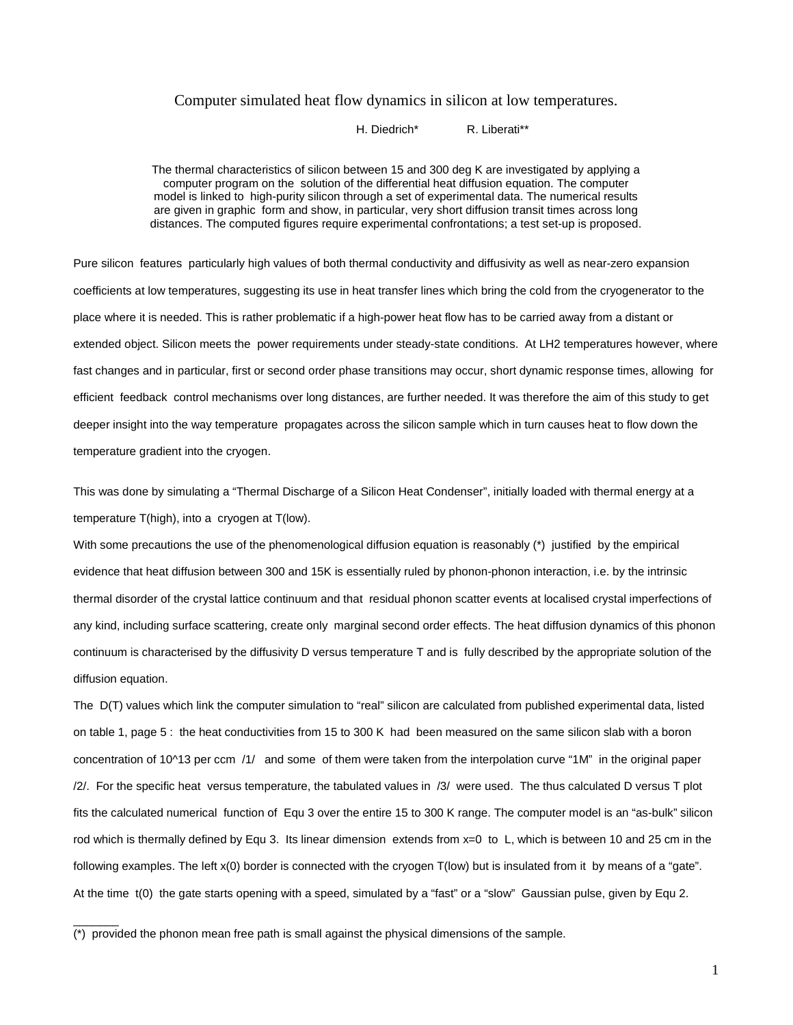# Computer simulated heat flow dynamics in silicon at low temperatures.

H. Diedrich\* R. Liberati\*\*

The thermal characteristics of silicon between 15 and 300 deg K are investigated by applying a computer program on the solution of the differential heat diffusion equation. The computer model is linked to high-purity silicon through a set of experimental data. The numerical results are given in graphic form and show, in particular, very short diffusion transit times across long distances. The computed figures require experimental confrontations; a test set-up is proposed.

Pure silicon features particularly high values of both thermal conductivity and diffusivity as well as near-zero expansion coefficients at low temperatures, suggesting its use in heat transfer lines which bring the cold from the cryogenerator to the place where it is needed. This is rather problematic if a high-power heat flow has to be carried away from a distant or extended object. Silicon meets the power requirements under steady-state conditions. At LH2 temperatures however, where fast changes and in particular, first or second order phase transitions may occur, short dynamic response times, allowing for efficient feedback control mechanisms over long distances, are further needed. It was therefore the aim of this study to get deeper insight into the way temperature propagates across the silicon sample which in turn causes heat to flow down the temperature gradient into the cryogen.

This was done by simulating a "Thermal Discharge of a Silicon Heat Condenser", initially loaded with thermal energy at a temperature T(high), into a cryogen at T(low).

With some precautions the use of the phenomenological diffusion equation is reasonably (\*) justified by the empirical evidence that heat diffusion between 300 and 15K is essentially ruled by phonon-phonon interaction, i.e. by the intrinsic thermal disorder of the crystal lattice continuum and that residual phonon scatter events at localised crystal imperfections of any kind, including surface scattering, create only marginal second order effects. The heat diffusion dynamics of this phonon continuum is characterised by the diffusivity D versus temperature T and is fully described by the appropriate solution of the diffusion equation.

The D(T) values which link the computer simulation to "real" silicon are calculated from published experimental data, listed on table 1, page 5 : the heat conductivities from 15 to 300 K had been measured on the same silicon slab with a boron concentration of 10^13 per ccm /1/ and some of them were taken from the interpolation curve "1M" in the original paper /2/. For the specific heat versus temperature, the tabulated values in /3/ were used. The thus calculated D versus T plot fits the calculated numerical function of Equ 3 over the entire 15 to 300 K range. The computer model is an "as-bulk" silicon rod which is thermally defined by Equ 3. Its linear dimension extends from x=0 to L, which is between 10 and 25 cm in the following examples. The left x(0) border is connected with the cryogen T(low) but is insulated from it by means of a "gate". At the time t(0) the gate starts opening with a speed, simulated by a "fast" or a "slow" Gaussian pulse, given by Equ 2.

(\*) provided the phonon mean free path is small against the physical dimensions of the sample.

 $\overline{\phantom{a}}$   $\overline{\phantom{a}}$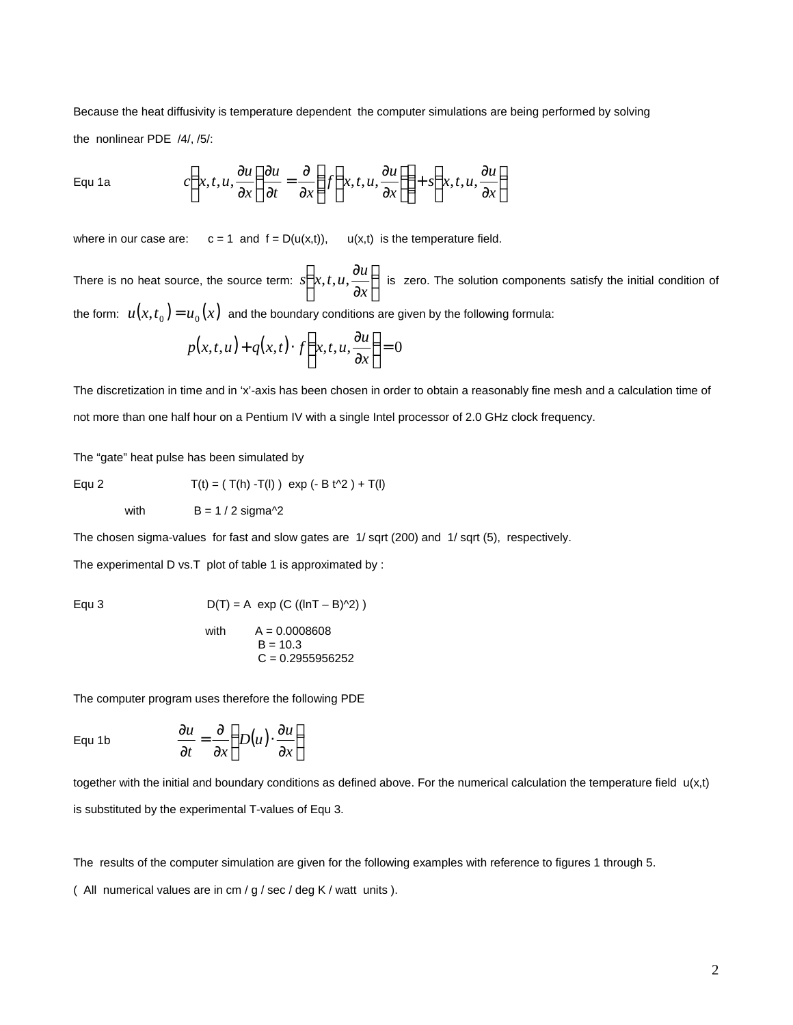Because the heat diffusivity is temperature dependent the computer simulations are being performed by solving the nonlinear PDE /4/, /5/:

Equ 1a 
$$
c\left(x,t,u,\frac{\partial u}{\partial x}\right)\frac{\partial u}{\partial t} = \frac{\partial}{\partial x}\left(f\left(x,t,u,\frac{\partial u}{\partial x}\right)\right) + s\left(x,t,u,\frac{\partial u}{\partial x}\right)
$$

where in our case are:  $c = 1$  and  $f = D(u(x,t))$ ,  $u(x,t)$  is the temperature field.

There is no heat source, the source term:  $s | x, t, u, \frac{du}{dt} |$  $\bigg)$  $\left(x,t,u,\frac{\partial u}{\partial x}\right)$ l ſ ∂ ∂ *x*  $\int x(t,u,\frac{\partial u}{\partial x})$  is zero. The solution components satisfy the initial condition of the form:  $u(x,t_{_0})\!=\!u_{_0}(x)\;$  and the boundary conditions are given by the following formula:

$$
p(x,t,u) + q(x,t) \cdot f\left(x,t,u,\frac{\partial u}{\partial x}\right) = 0
$$

The discretization in time and in 'x'-axis has been chosen in order to obtain a reasonably fine mesh and a calculation time of not more than one half hour on a Pentium IV with a single Intel processor of 2.0 GHz clock frequency.

The "gate" heat pulse has been simulated by

with  $B = 1 / 2$  sigma<sup> $\sqrt{2}$ </sup>

Equ 2 
$$
T(t) = (T(h) - T(l)) \exp(-B t^2 + T(l))
$$

The chosen sigma-values for fast and slow gates are 1/ sqrt (200) and 1/ sqrt (5), respectively.

The experimental D vs.T plot of table 1 is approximated by :

Equ 3 
$$
D(T) = A \exp (C ((\ln T - B)^2))
$$

with 
$$
A = 0.0008608
$$
  
\n $B = 10.3$   
\n $C = 0.2955956252$ 

The computer program uses therefore the following PDE

Equ 1b  $\frac{\partial u}{\partial x} = \frac{\partial}{\partial y} \left( D(u) \cdot \frac{\partial u}{\partial x} \right)$  $\overline{1}$  $\left(D(u)\cdot\frac{\partial u}{\partial u}\right)$ l ſ ∂  $\cdot\frac{\delta}{\delta}$ ∂  $=\frac{5}{2}$ ∂ ∂ *x*  $D(u) \cdot \frac{\partial u}{\partial u}$ *t x u*

together with the initial and boundary conditions as defined above. For the numerical calculation the temperature field  $u(x,t)$ is substituted by the experimental T-values of Equ 3.

The results of the computer simulation are given for the following examples with reference to figures 1 through 5.

( All numerical values are in cm / g / sec / deg K / watt units ).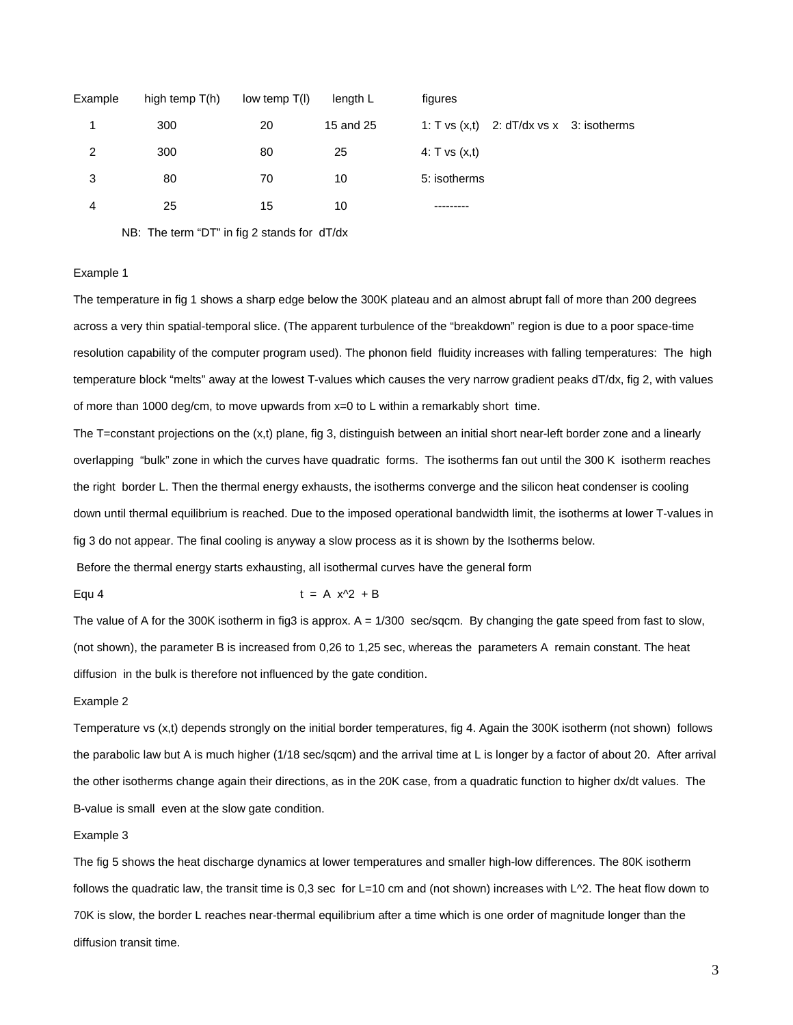| Example | high temp $T(h)$ | low temp $T(I)$ | length L  | figures                                        |
|---------|------------------|-----------------|-----------|------------------------------------------------|
|         | 300              | 20              | 15 and 25 | 1: T vs $(x,t)$ 2: $dT/dx$ vs $x$ 3: isotherms |
| 2       | 300              | 80              | 25        | 4: T vs $(x,t)$                                |
| 3       | 80               | 70              | 10        | 5: isotherms                                   |
| 4       | 25               | 15              | 10        |                                                |

NB: The term "DT" in fig 2 stands for dT/dx

### Example 1

The temperature in fig 1 shows a sharp edge below the 300K plateau and an almost abrupt fall of more than 200 degrees across a very thin spatial-temporal slice. (The apparent turbulence of the "breakdown" region is due to a poor space-time resolution capability of the computer program used). The phonon field fluidity increases with falling temperatures: The high temperature block "melts" away at the lowest T-values which causes the very narrow gradient peaks dT/dx, fig 2, with values of more than 1000 deg/cm, to move upwards from x=0 to L within a remarkably short time.

The T=constant projections on the (x,t) plane, fig 3, distinguish between an initial short near-left border zone and a linearly overlapping "bulk" zone in which the curves have quadratic forms. The isotherms fan out until the 300 K isotherm reaches the right border L. Then the thermal energy exhausts, the isotherms converge and the silicon heat condenser is cooling down until thermal equilibrium is reached. Due to the imposed operational bandwidth limit, the isotherms at lower T-values in fig 3 do not appear. The final cooling is anyway a slow process as it is shown by the Isotherms below.

Before the thermal energy starts exhausting, all isothermal curves have the general form

Equ 4  $t = A x^2 + B$ 

The value of A for the 300K isotherm in fig3 is approx. A = 1/300 sec/sqcm. By changing the gate speed from fast to slow, (not shown), the parameter B is increased from 0,26 to 1,25 sec, whereas the parameters A remain constant. The heat diffusion in the bulk is therefore not influenced by the gate condition.

#### Example 2

Temperature vs (x,t) depends strongly on the initial border temperatures, fig 4. Again the 300K isotherm (not shown) follows the parabolic law but A is much higher (1/18 sec/sqcm) and the arrival time at L is longer by a factor of about 20. After arrival the other isotherms change again their directions, as in the 20K case, from a quadratic function to higher dx/dt values. The B-value is small even at the slow gate condition.

#### Example 3

The fig 5 shows the heat discharge dynamics at lower temperatures and smaller high-low differences. The 80K isotherm follows the quadratic law, the transit time is 0,3 sec for L=10 cm and (not shown) increases with  $L^{\wedge}2$ . The heat flow down to 70K is slow, the border L reaches near-thermal equilibrium after a time which is one order of magnitude longer than the diffusion transit time.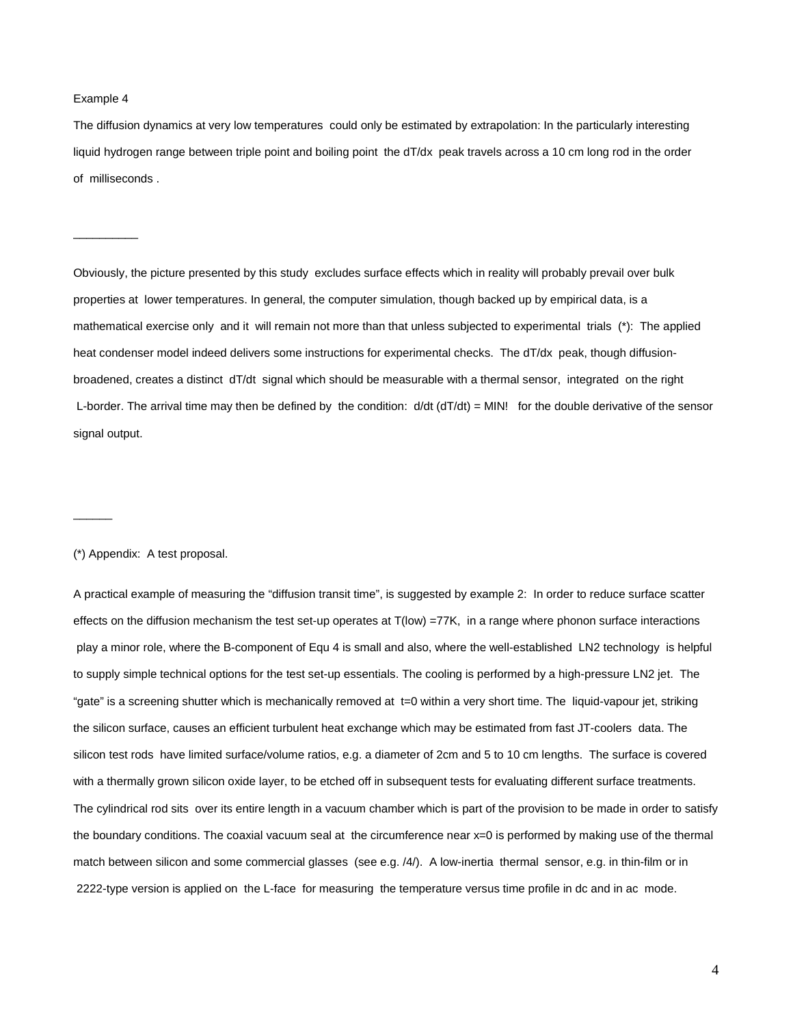#### Example 4

 $\overline{\phantom{a}}$  . The contract of the contract of  $\overline{\phantom{a}}$ 

The diffusion dynamics at very low temperatures could only be estimated by extrapolation: In the particularly interesting liquid hydrogen range between triple point and boiling point the dT/dx peak travels across a 10 cm long rod in the order of milliseconds .

Obviously, the picture presented by this study excludes surface effects which in reality will probably prevail over bulk properties at lower temperatures. In general, the computer simulation, though backed up by empirical data, is a mathematical exercise only and it will remain not more than that unless subjected to experimental trials (\*): The applied heat condenser model indeed delivers some instructions for experimental checks. The dT/dx peak, though diffusionbroadened, creates a distinct dT/dt signal which should be measurable with a thermal sensor, integrated on the right L-border. The arrival time may then be defined by the condition:  $d/dt$  ( $dT/dt$ ) = MIN! for the double derivative of the sensor signal output.

#### (\*) Appendix: A test proposal.

 $\overline{\phantom{a}}$ 

A practical example of measuring the "diffusion transit time", is suggested by example 2: In order to reduce surface scatter effects on the diffusion mechanism the test set-up operates at T(low) =77K, in a range where phonon surface interactions play a minor role, where the B-component of Equ 4 is small and also, where the well-established LN2 technology is helpful to supply simple technical options for the test set-up essentials. The cooling is performed by a high-pressure LN2 jet. The "gate" is a screening shutter which is mechanically removed at t=0 within a very short time. The liquid-vapour jet, striking the silicon surface, causes an efficient turbulent heat exchange which may be estimated from fast JT-coolers data. The silicon test rods have limited surface/volume ratios, e.g. a diameter of 2cm and 5 to 10 cm lengths. The surface is covered with a thermally grown silicon oxide layer, to be etched off in subsequent tests for evaluating different surface treatments. The cylindrical rod sits over its entire length in a vacuum chamber which is part of the provision to be made in order to satisfy the boundary conditions. The coaxial vacuum seal at the circumference near x=0 is performed by making use of the thermal match between silicon and some commercial glasses (see e.g. /4/). A low-inertia thermal sensor, e.g. in thin-film or in 2222-type version is applied on the L-face for measuring the temperature versus time profile in dc and in ac mode.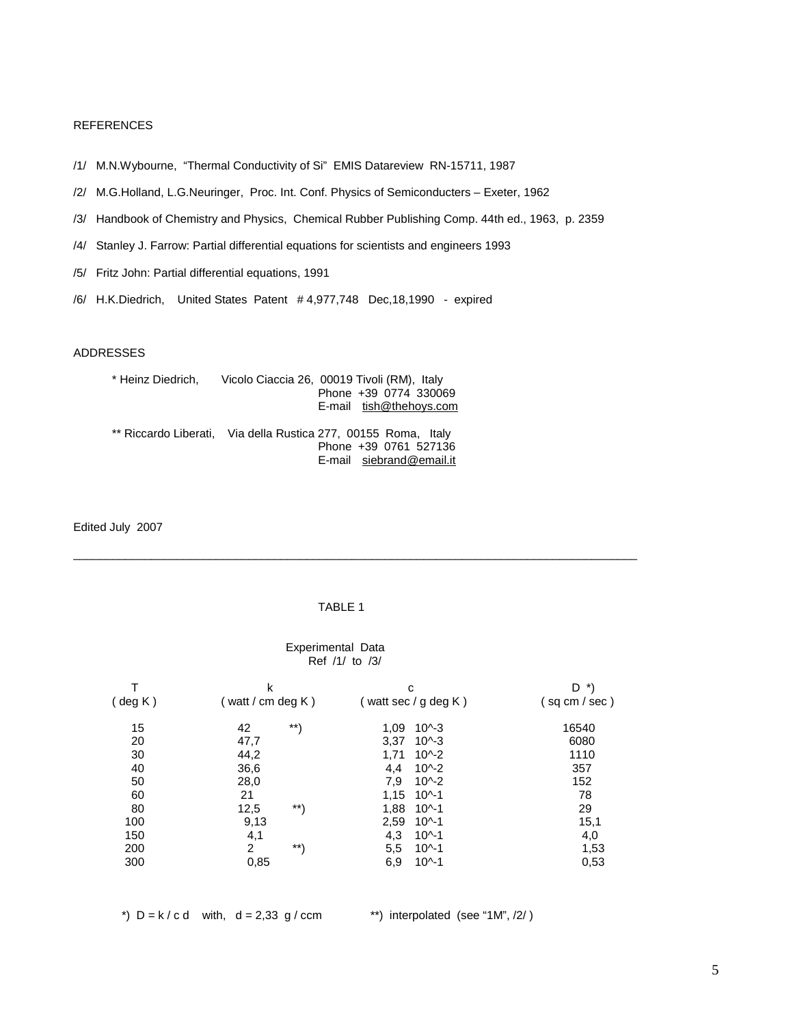# REFERENCES

- /1/ M.N.Wybourne, "Thermal Conductivity of Si" EMIS Datareview RN-15711, 1987
- /2/ M.G.Holland, L.G.Neuringer, Proc. Int. Conf. Physics of Semiconducters Exeter, 1962
- /3/ Handbook of Chemistry and Physics, Chemical Rubber Publishing Comp. 44th ed., 1963, p. 2359
- /4/ Stanley J. Farrow: Partial differential equations for scientists and engineers 1993
- /5/ Fritz John: Partial differential equations, 1991
- /6/ H.K.Diedrich, United States Patent # 4,977,748 Dec,18,1990 expired

### ADDRESSES

| * Heinz Diedrich. | Vicolo Ciaccia 26, 00019 Tivoli (RM), Italy<br>Phone +39 0774 330069<br>E-mail tish@thehoys.com                     |
|-------------------|---------------------------------------------------------------------------------------------------------------------|
|                   | ** Riccardo Liberati, Via della Rustica 277, 00155 Roma, Italy<br>Phone +39 0761 527136<br>E-mail siebrand@email.it |

Edited July 2007

# TABLE 1

\_\_\_\_\_\_\_\_\_\_\_\_\_\_\_\_\_\_\_\_\_\_\_\_\_\_\_\_\_\_\_\_\_\_\_\_\_\_\_\_\_\_\_\_\_\_\_\_\_\_\_\_\_\_\_\_\_\_\_\_\_\_\_\_\_\_\_\_\_\_\_\_\_\_\_\_\_\_\_\_\_\_\_\_\_\_\_

#### Experimental Data Ref /1/ to /3/

|            | k                 | с                    | $\star$<br>D   |
|------------|-------------------|----------------------|----------------|
| $($ deg K) | (watt / cm deg K) | (watt sec / g deg K) | (sq cm / sec ) |
| 15         | $***$<br>42       | $10^{(-)}$<br>1.09   | 16540          |
| 20         | 47,7              | $10 - 3$<br>3,37     | 6080           |
| 30         | 44,2              | $10^{\sim}2$<br>1.71 | 1110           |
| 40         | 36,6              | $10^{(-2)}$<br>4,4   | 357            |
| 50         | 28,0              | 7,9<br>$10^{(-2)}$   | 152            |
| 60         | 21                | 1.15<br>$10^{(-1)}$  | 78             |
| 80         | $***$<br>12,5     | 1,88<br>$10^{(-1)}$  | 29             |
| 100        | 9,13              | 2,59<br>$10^{(-)}$   | 15,1           |
| 150        | 4,1               | 4,3<br>$10^{(-1)}$   | 4,0            |
| 200        | 2<br>$***$        | 5,5<br>$10^{(-1)}$   | 1,53           |
| 300        | 0,85              | $10^{(-1)}$<br>6,9   | 0,53           |

\*)  $D = k / c d$  with,  $d = 2,33 g / c cm$  \*\*) interpolated (see "1M", /2/)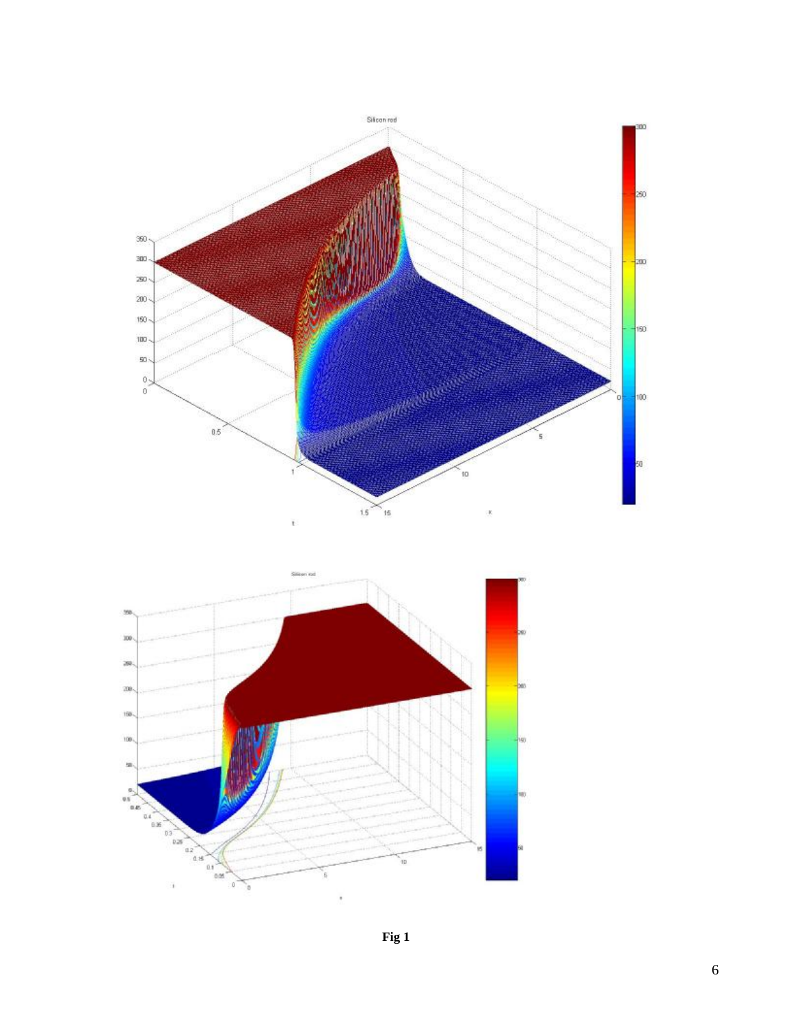

**F i g 1**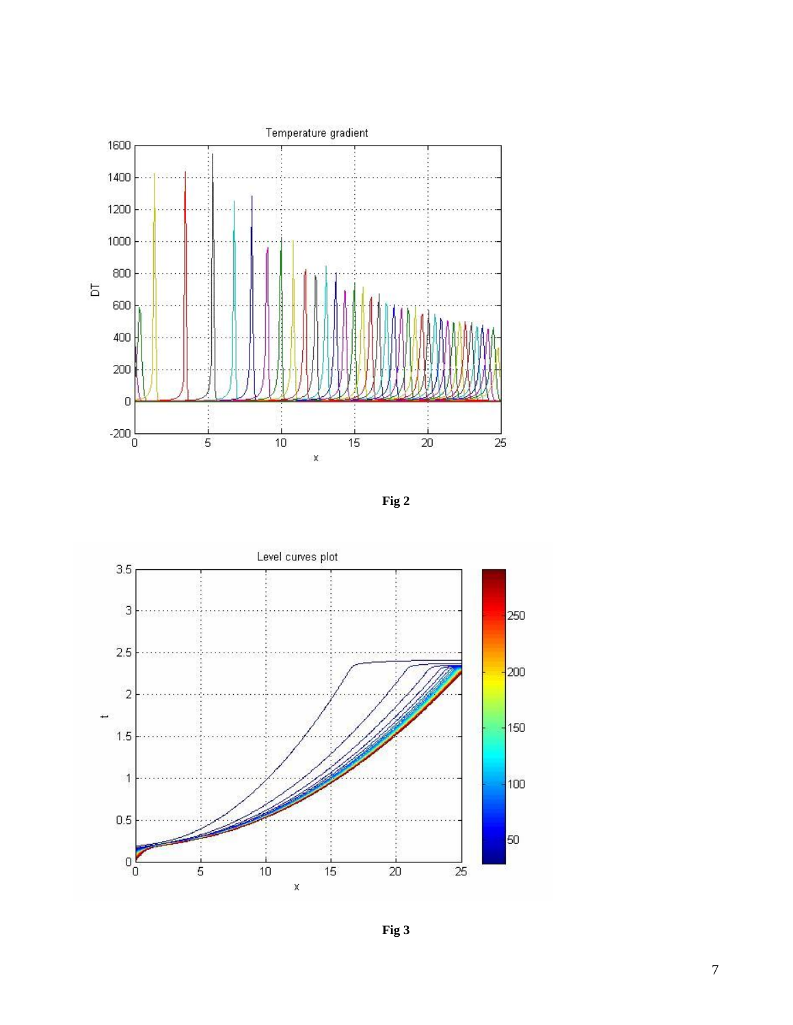





**Fig 3**